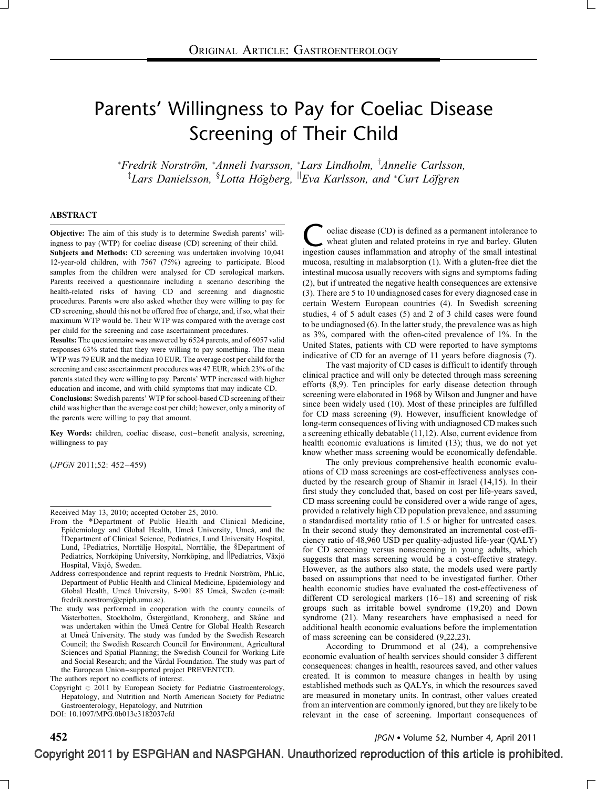# Parents' Willingness to Pay for Coeliac Disease Screening of Their Child

\*Fredrik Norström, \*Anneli Ivarsson, \*Lars Lindholm, <sup>†</sup>Annelie Carlsson,  $^{\ddagger}$ Lars Danielsson,  $^{\$}$ Lotta Högberg,  $^{\parallel}$ Eva Karlsson, and  $^*$ Curt Löfgren

#### ABSTRACT

Objective: The aim of this study is to determine Swedish parents' willingness to pay (WTP) for coeliac disease (CD) screening of their child. Subjects and Methods: CD screening was undertaken involving 10,041 12-year-old children, with 7567 (75%) agreeing to participate. Blood samples from the children were analysed for CD serological markers. Parents received a questionnaire including a scenario describing the health-related risks of having CD and screening and diagnostic procedures. Parents were also asked whether they were willing to pay for CD screening, should this not be offered free of charge, and, if so, what their maximum WTP would be. Their WTP was compared with the average cost per child for the screening and case ascertainment procedures.

Results: The questionnaire was answered by 6524 parents, and of 6057 valid responses 63% stated that they were willing to pay something. The mean WTP was 79 EUR and the median 10 EUR. The average cost per child for the screening and case ascertainment procedures was 47 EUR, which 23% of the parents stated they were willing to pay. Parents' WTP increased with higher education and income, and with child symptoms that may indicate CD. Conclusions: Swedish parents' WTP for school-based CD screening of their child was higher than the average cost per child; however, only a minority of the parents were willing to pay that amount.

Key Words: children, coeliac disease, cost–benefit analysis, screening, willingness to pay

(JPGN 2011;52: 452–459)

Received May 13, 2010; accepted October 25, 2010.

- From the \*Department of Public Health and Clinical Medicine, Epidemiology and Global Health, Umeå University, Umeå, and the <sup>†</sup>Department of Clinical Science, Pediatrics, Lund University Hospital, Lund, <sup>‡</sup>Pediatrics, Norrtälje Hospital, Norrtälje, the §Department of Pediatrics, Norrköping University, Norrköping, and ||Pediatrics, Växjö Hospital, Växjö, Sweden.
- Address correspondence and reprint requests to Fredrik Norström, PhLic, Department of Public Health and Clinical Medicine, Epidemiology and Global Health, Umeå University, S-901 85 Umeå, Sweden (e-mail: [fredrik.norstrom@epiph.umu.se\)](mailto:fredrik.norstrom@epiph.umu.se).
- The study was performed in cooperation with the county councils of Västerbotten, Stockholm, Östergötland, Kronoberg, and Skåne and was undertaken within the Umeå Centre for Global Health Research at Umeå University. The study was funded by the Swedish Research Council; the Swedish Research Council for Environment, Agricultural Sciences and Spatial Planning; the Swedish Council for Working Life and Social Research; and the Vårdal Foundation. The study was part of the European Union–supported project PREVENTCD.

The authors report no conflicts of interest.

Copyright  $\circ$  2011 by European Society for Pediatric Gastroenterology, Hepatology, and Nutrition and North American Society for Pediatric Gastroenterology, Hepatology, and Nutrition

DOI: [10.1097/MPG.0b013e3182037efd](http://dx.doi.org/10.1097/MPG.0b013e3182037efd)

oeliac disease (CD) is defined as a permanent intolerance to wheat gluten and related proteins in rye and barley. Gluten ingestion causes inflammation and atrophy of the small intestinal mucosa, resulting in malabsorption [\(1\).](#page-7-0) With a gluten-free diet the intestinal mucosa usually recovers with signs and symptoms fading [\(2\),](#page-7-0) but if untreated the negative health consequences are extensive [\(3\).](#page-7-0) There are 5 to 10 undiagnosed cases for every diagnosed case in certain Western European countries [\(4\)](#page-7-0). In Swedish screening studies, 4 of 5 adult cases [\(5\)](#page-7-0) and 2 of 3 child cases were found to be undiagnosed [\(6\)](#page-7-0). In the latter study, the prevalence was as high as 3%, compared with the often-cited prevalence of 1%. In the United States, patients with CD were reported to have symptoms indicative of CD for an average of 11 years before diagnosis [\(7\).](#page-7-0)

The vast majority of CD cases is difficult to identify through clinical practice and will only be detected through mass screening efforts [\(8,9\)](#page-7-0). Ten principles for early disease detection through screening were elaborated in 1968 by Wilson and Jungner and have since been widely used [\(10\).](#page-7-0) Most of these principles are fulfilled for CD mass screening [\(9\)](#page-7-0). However, insufficient knowledge of long-term consequences of living with undiagnosed CD makes such a screening ethically debatable [\(11,12\).](#page-7-0) Also, current evidence from health economic evaluations is limited [\(13\)](#page-7-0); thus, we do not yet know whether mass screening would be economically defendable.

The only previous comprehensive health economic evaluations of CD mass screenings are cost-effectiveness analyses conducted by the research group of Shamir in Israel [\(14,15\)](#page-7-0). In their first study they concluded that, based on cost per life-years saved, CD mass screening could be considered over a wide range of ages, provided a relatively high CD population prevalence, and assuming a standardised mortality ratio of 1.5 or higher for untreated cases. In their second study they demonstrated an incremental cost-efficiency ratio of 48,960 USD per quality-adjusted life-year (QALY) for CD screening versus nonscreening in young adults, which suggests that mass screening would be a cost-effective strategy. However, as the authors also state, the models used were partly based on assumptions that need to be investigated further. Other health economic studies have evaluated the cost-effectiveness of different CD serological markers [\(16–18\)](#page-7-0) and screening of risk groups such as irritable bowel syndrome [\(19,20\)](#page-7-0) and Down syndrome [\(21\)](#page-7-0). Many researchers have emphasised a need for additional health economic evaluations before the implementation of mass screening can be considered [\(9,22,23\)](#page-7-0).

According to Drummond et al [\(24\),](#page-7-0) a comprehensive economic evaluation of health services should consider 3 different consequences: changes in health, resources saved, and other values created. It is common to measure changes in health by using established methods such as QALYs, in which the resources saved are measured in monetary units. In contrast, other values created from an intervention are commonly ignored, but they are likely to be relevant in the case of screening. Important consequences of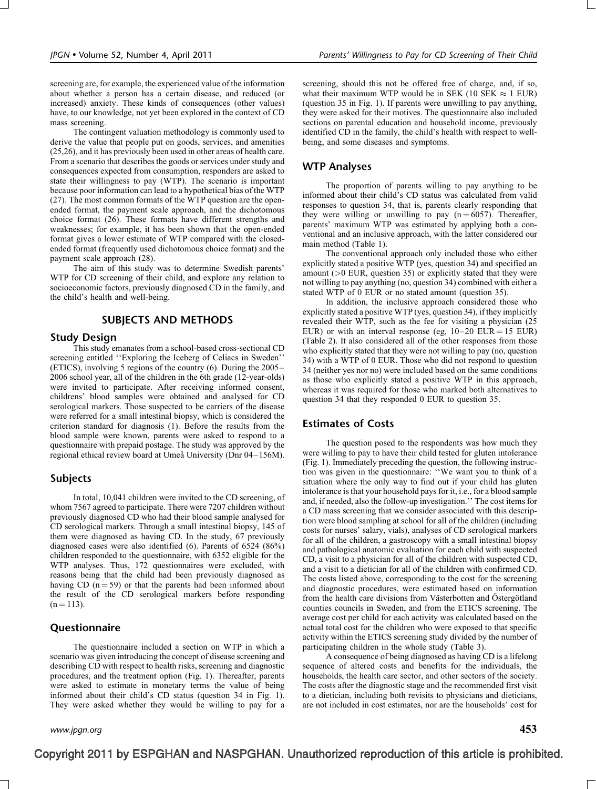screening are, for example, the experienced value of the information about whether a person has a certain disease, and reduced (or increased) anxiety. These kinds of consequences (other values) have, to our knowledge, not yet been explored in the context of CD mass screening.

The contingent valuation methodology is commonly used to derive the value that people put on goods, services, and amenities [\(25,26\)](#page-7-0), and it has previously been used in other areas of health care. From a scenario that describes the goods or services under study and consequences expected from consumption, responders are asked to state their willingness to pay (WTP). The scenario is important because poor information can lead to a hypothetical bias of the WTP [\(27\)](#page-7-0). The most common formats of the WTP question are the openended format, the payment scale approach, and the dichotomous choice format [\(26\)](#page-7-0). These formats have different strengths and weaknesses; for example, it has been shown that the open-ended format gives a lower estimate of WTP compared with the closedended format (frequently used dichotomous choice format) and the payment scale approach [\(28\)](#page-7-0).

The aim of this study was to determine Swedish parents' WTP for CD screening of their child, and explore any relation to socioeconomic factors, previously diagnosed CD in the family, and the child's health and well-being.

### SUBJECTS AND METHODS

#### Study Design

This study emanates from a school-based cross-sectional CD screening entitled ''Exploring the Iceberg of Celiacs in Sweden'' (ETICS), involving 5 regions of the country [\(6\)](#page-7-0). During the 2005– 2006 school year, all of the children in the 6th grade (12-year-olds) were invited to participate. After receiving informed consent, childrens' blood samples were obtained and analysed for CD serological markers. Those suspected to be carriers of the disease were referred for a small intestinal biopsy, which is considered the criterion standard for diagnosis [\(1\).](#page-7-0) Before the results from the blood sample were known, parents were asked to respond to a questionnaire with prepaid postage. The study was approved by the regional ethical review board at Umea University (Dnr 04–156M).

### Subjects

In total, 10,041 children were invited to the CD screening, of whom 7567 agreed to participate. There were 7207 children without previously diagnosed CD who had their blood sample analysed for CD serological markers. Through a small intestinal biopsy, 145 of them were diagnosed as having CD. In the study, 67 previously diagnosed cases were also identified [\(6\)](#page-7-0). Parents of 6524 (86%) children responded to the questionnaire, with 6352 eligible for the WTP analyses. Thus, 172 questionnaires were excluded, with reasons being that the child had been previously diagnosed as having CD  $(n = 59)$  or that the parents had been informed about the result of the CD serological markers before responding  $(n = 113)$ .

### Questionnaire

The questionnaire included a section on WTP in which a scenario was given introducing the concept of disease screening and describing CD with respect to health risks, screening and diagnostic procedures, and the treatment option ([Fig. 1\)](#page-2-0). Thereafter, parents were asked to estimate in monetary terms the value of being informed about their child's CD status (question 34 in [Fig. 1\)](#page-2-0). They were asked whether they would be willing to pay for a

www.jpgn.org  $453$ 

screening, should this not be offered free of charge, and, if so, what their maximum WTP would be in SEK (10 SEK  $\approx$  1 EUR) (question 35 in [Fig. 1\)](#page-2-0). If parents were unwilling to pay anything, they were asked for their motives. The questionnaire also included sections on parental education and household income, previously identified CD in the family, the child's health with respect to wellbeing, and some diseases and symptoms.

### WTP Analyses

The proportion of parents willing to pay anything to be informed about their child's CD status was calculated from valid responses to question 34, that is, parents clearly responding that they were willing or unwilling to pay  $(n = 6057)$ . Thereafter, parents' maximum WTP was estimated by applying both a conventional and an inclusive approach, with the latter considered our main method [\(Table 1](#page-2-0)).

The conventional approach only included those who either explicitly stated a positive WTP (yes, question 34) and specified an amount  $(0.0)$  EUR, question 35) or explicitly stated that they were not willing to pay anything (no, question 34) combined with either a stated WTP of 0 EUR or no stated amount (question 35).

In addition, the inclusive approach considered those who explicitly stated a positive WTP (yes, question 34), if they implicitly revealed their WTP, such as the fee for visiting a physician (25 EUR) or with an interval response (eg,  $10-20$  EUR = 15 EUR) ([Table 2](#page-3-0)). It also considered all of the other responses from those who explicitly stated that they were not willing to pay (no, question 34) with a WTP of 0 EUR. Those who did not respond to question 34 (neither yes nor no) were included based on the same conditions as those who explicitly stated a positive WTP in this approach, whereas it was required for those who marked both alternatives to question 34 that they responded 0 EUR to question 35.

### Estimates of Costs

The question posed to the respondents was how much they were willing to pay to have their child tested for gluten intolerance ([Fig. 1](#page-2-0)). Immediately preceding the question, the following instruction was given in the questionnaire: ''We want you to think of a situation where the only way to find out if your child has gluten intolerance is that your household pays for it, i.e., for a blood sample and, if needed, also the follow-up investigation.'' The cost items for a CD mass screening that we consider associated with this description were blood sampling at school for all of the children (including costs for nurses' salary, vials), analyses of CD serological markers for all of the children, a gastroscopy with a small intestinal biopsy and pathological anatomic evaluation for each child with suspected CD, a visit to a physician for all of the children with suspected CD, and a visit to a dietician for all of the children with confirmed CD. The costs listed above, corresponding to the cost for the screening and diagnostic procedures, were estimated based on information from the health care divisions from Västerbotten and Östergötland counties councils in Sweden, and from the ETICS screening. The average cost per child for each activity was calculated based on the actual total cost for the children who were exposed to that specific activity within the ETICS screening study divided by the number of participating children in the whole study ([Table 3\)](#page-3-0).

A consequence of being diagnosed as having CD is a lifelong sequence of altered costs and benefits for the individuals, the households, the health care sector, and other sectors of the society. The costs after the diagnostic stage and the recommended first visit to a dietician, including both revisits to physicians and dieticians, are not included in cost estimates, nor are the households' cost for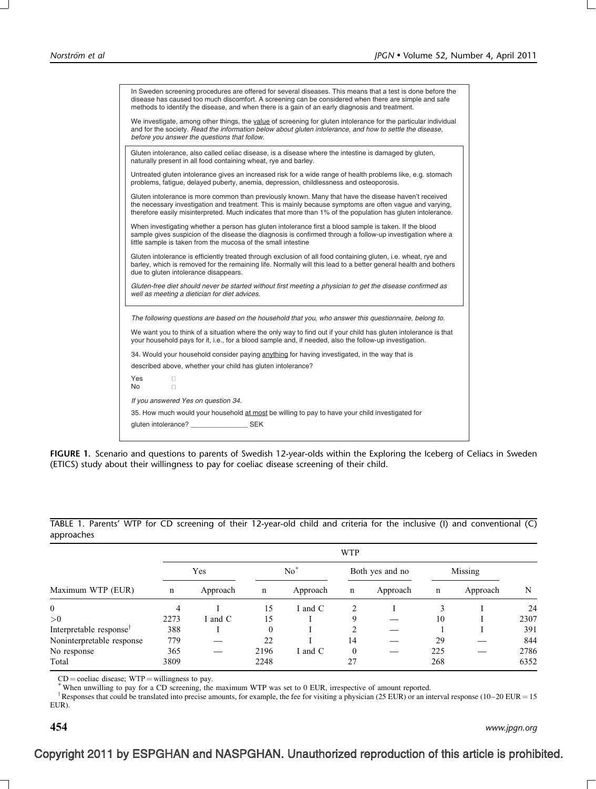<span id="page-2-0"></span>

| In Sweden screening procedures are offered for several diseases. This means that a test is done before the<br>disease has caused too much discomfort. A screening can be considered when there are simple and safe<br>methods to identify the disease, and when there is a gain of an early diagnosis and treatment.           |
|--------------------------------------------------------------------------------------------------------------------------------------------------------------------------------------------------------------------------------------------------------------------------------------------------------------------------------|
| We investigate, among other things, the value of screening for gluten intolerance for the particular individual<br>and for the society. Read the information below about gluten intolerance, and how to settle the disease,<br>before you answer the questions that follow.                                                    |
| Gluten intolerance, also called celiac disease, is a disease where the intestine is damaged by gluten,<br>naturally present in all food containing wheat, rye and barley.                                                                                                                                                      |
| Untreated gluten intolerance gives an increased risk for a wide range of health problems like, e.g. stomach<br>problems, fatigue, delayed puberty, anemia, depression, childlessness and osteoporosis.                                                                                                                         |
| Gluten intolerance is more common than previously known. Many that have the disease haven't received<br>the necessary investigation and treatment. This is mainly because symptoms are often vague and varying,<br>therefore easily misinterpreted. Much indicates that more than 1% of the population has gluten intolerance. |
| When investigating whether a person has gluten intolerance first a blood sample is taken. If the blood<br>sample gives suspicion of the disease the diagnosis is confirmed through a follow-up investigation where a<br>little sample is taken from the mucosa of the small intestine                                          |
| Gluten intolerance is efficiently treated through exclusion of all food containing gluten, i.e. wheat, rye and<br>barley, which is removed for the remaining life. Normally will this lead to a better general health and bothers<br>due to gluten intolerance disappears.                                                     |
| Gluten-free diet should never be started without first meeting a physician to get the disease confirmed as<br>well as meeting a dietician for diet advices.                                                                                                                                                                    |
| The following questions are based on the household that you, who answer this questionnaire, belong to.                                                                                                                                                                                                                         |
| We want you to think of a situation where the only way to find out if your child has gluten intolerance is that<br>your household pays for it, i.e., for a blood sample and, if needed, also the follow-up investigation.                                                                                                      |
| 34. Would your household consider paying anything for having investigated, in the way that is                                                                                                                                                                                                                                  |
| described above, whether your child has gluten intolerance?                                                                                                                                                                                                                                                                    |
| Yes<br>П<br>No<br>$\Box$                                                                                                                                                                                                                                                                                                       |
| If you answered Yes on question 34.                                                                                                                                                                                                                                                                                            |
| 35. How much would your household at most be willing to pay to have your child investigated for                                                                                                                                                                                                                                |
| gluten intolerance? ________<br><b>SEK</b>                                                                                                                                                                                                                                                                                     |

FIGURE 1. Scenario and questions to parents of Swedish 12-year-olds within the Exploring the Iceberg of Celiacs in Sweden (ETICS) study about their willingness to pay for coeliac disease screening of their child.

TABLE 1. Parents' WTP for CD screening of their 12-year-old child and criteria for the inclusive (I) and conventional (C) approaches

|                                     |      | <b>WTP</b> |          |          |                |                 |     |          |      |
|-------------------------------------|------|------------|----------|----------|----------------|-----------------|-----|----------|------|
|                                     |      | Yes        |          | $No^*$   |                | Both yes and no |     | Missing  |      |
| Maximum WTP (EUR)                   | n    | Approach   | n        | Approach | n              | Approach        | n   | Approach | N    |
| $\mathbf{0}$                        |      |            | 15       | I and C  | $\mathfrak{D}$ |                 |     |          | 24   |
| >0                                  | 2273 | I and C    | 15       |          | 9              |                 | 10  |          | 2307 |
| Interpretable response <sup>†</sup> | 388  |            | $\theta$ |          | 2              |                 |     |          | 391  |
| Noninterpretable response           | 779  |            | 22       |          | 14             |                 | 29  |          | 844  |
| No response                         | 365  |            | 2196     | I and C  | $\Omega$       |                 | 225 |          | 2786 |
| Total                               | 3809 |            | 2248     |          | 27             |                 | 268 |          | 6352 |

 $CD =$  coeliac disease; WTP  $=$  willingness to pay.<br>\*When unwilling to pay for a CD screening, the maximum WTP was set to 0 EUR, irrespective of amount reported.

Responses that could be translated into precise amounts, for example, the fee for visiting a physician (25 EUR) or an interval response (10–20 EUR = 15 EUR).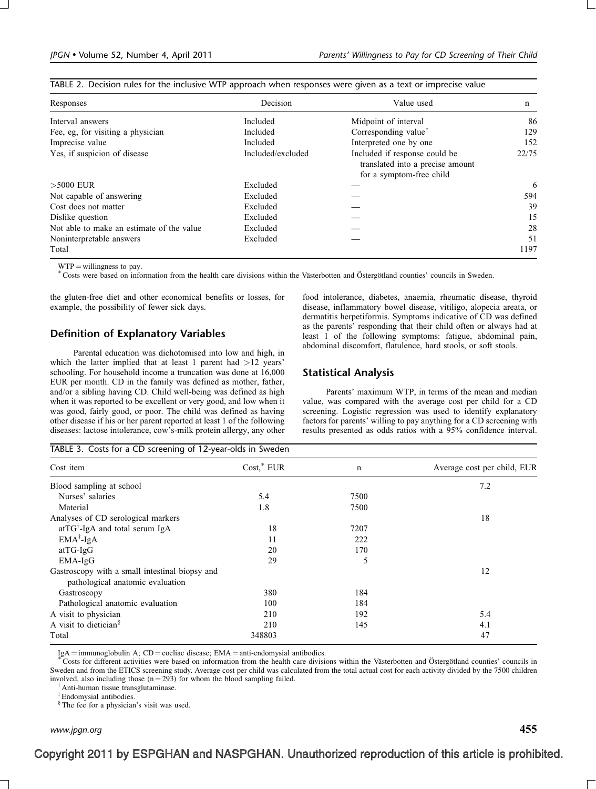| Responses                                 | Decision          | Value used                                                                                    | n     |
|-------------------------------------------|-------------------|-----------------------------------------------------------------------------------------------|-------|
| Interval answers                          | Included          | Midpoint of interval                                                                          | 86    |
| Fee, eg, for visiting a physician         | Included          | Corresponding value*                                                                          | 129   |
| Imprecise value                           | Included          | Interpreted one by one                                                                        | 152   |
| Yes, if suspicion of disease              | Included/excluded | Included if response could be<br>translated into a precise amount<br>for a symptom-free child | 22/75 |
| $>5000$ EUR                               | Excluded          |                                                                                               | 6     |
| Not capable of answering                  | Excluded          |                                                                                               | 594   |
| Cost does not matter                      | Excluded          |                                                                                               | 39    |
| Dislike question                          | Excluded          |                                                                                               | 15    |
| Not able to make an estimate of the value | Excluded          |                                                                                               | 28    |
| Noninterpretable answers                  | Excluded          |                                                                                               | 51    |
| Total                                     |                   |                                                                                               | 1197  |

#### <span id="page-3-0"></span>TABLE 2. Decision rules for the inclusive WTP approach when responses were given as a text or imprecise value

WTP = willingness to pay.<br>\* Costs were based on information from the health care divisions within the Västerbotten and Östergötland counties' councils in Sweden.

the gluten-free diet and other economical benefits or losses, for example, the possibility of fewer sick days.

### Definition of Explanatory Variables

Parental education was dichotomised into low and high, in which the latter implied that at least 1 parent had  $>12$  years' schooling. For household income a truncation was done at 16,000 EUR per month. CD in the family was defined as mother, father, and/or a sibling having CD. Child well-being was defined as high when it was reported to be excellent or very good, and low when it was good, fairly good, or poor. The child was defined as having other disease if his or her parent reported at least 1 of the following diseases: lactose intolerance, cow's-milk protein allergy, any other food intolerance, diabetes, anaemia, rheumatic disease, thyroid disease, inflammatory bowel disease, vitiligo, alopecia areata, or dermatitis herpetiformis. Symptoms indicative of CD was defined as the parents' responding that their child often or always had at least 1 of the following symptoms: fatigue, abdominal pain, abdominal discomfort, flatulence, hard stools, or soft stools.

### Statistical Analysis

Parents' maximum WTP, in terms of the mean and median value, was compared with the average cost per child for a CD screening. Logistic regression was used to identify explanatory factors for parents' willing to pay anything for a CD screening with results presented as odds ratios with a 95% confidence interval.

#### TABLE 3. Costs for a CD screening of 12-year-olds in Sweden

| Cost item                                                                          | $Cost, * EUR$ | $\mathbf n$ | Average cost per child, EUR |
|------------------------------------------------------------------------------------|---------------|-------------|-----------------------------|
| Blood sampling at school                                                           |               |             | 7.2                         |
| Nurses' salaries                                                                   | 5.4           | 7500        |                             |
| Material                                                                           | 1.8           | 7500        |                             |
| Analyses of CD serological markers                                                 |               |             | 18                          |
| at $TG^{\dagger}$ -IgA and total serum IgA                                         | 18            | 7207        |                             |
| $EMA^{\ddagger}$ -IgA                                                              | 11            | 222         |                             |
| $atTG-IgG$                                                                         | 20            | 170         |                             |
| $EMA-IgG$                                                                          | 29            | 5           |                             |
| Gastroscopy with a small intestinal biopsy and<br>pathological anatomic evaluation |               |             | 12                          |
| Gastroscopy                                                                        | 380           | 184         |                             |
| Pathological anatomic evaluation                                                   | 100           | 184         |                             |
| A visit to physician                                                               | 210           | 192         | 5.4                         |
| A visit to dietician <sup>§</sup>                                                  | 210           | 145         | 4.1                         |
| Total                                                                              | 348803        |             | 47                          |

IgA = immunoglobulin A; CD = coeliac disease; EMA = anti-endomysial antibodies.<br>\*Costs for different activities were based on information from the health care divisions within the Västerbotten and Östergötland counties' co Sweden and from the ETICS screening study. Average cost per child was calculated from the total actual cost for each activity divided by the 7500 children involved, also including those  $(n = 293)$  for whom the blood sampling failed.

Anti-human tissue transglutaminase.

<sup>‡</sup> Endomysial antibodies.

§ The fee for a physician's visit was used.

www.jpgn.org  $455$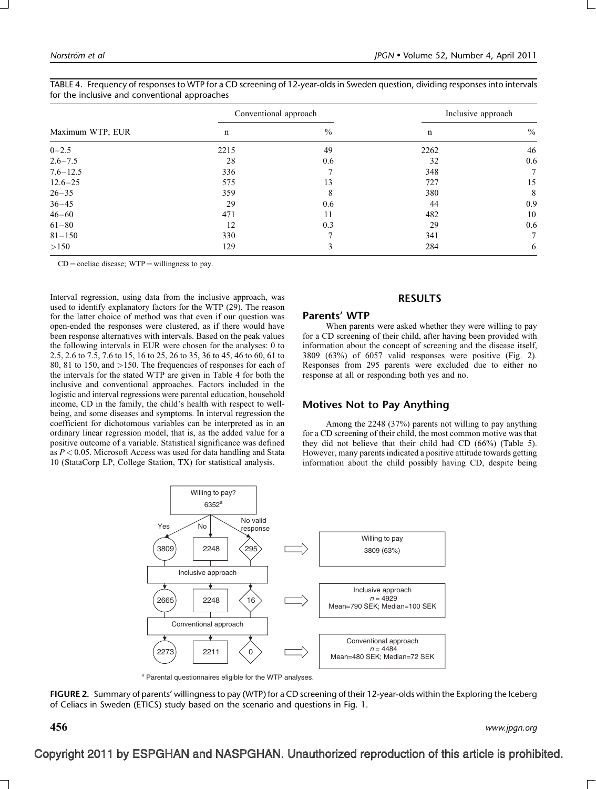|                  | Conventional approach |               | Inclusive approach |        |  |
|------------------|-----------------------|---------------|--------------------|--------|--|
| Maximum WTP, EUR | n                     | $\frac{0}{0}$ | n                  | $\%$   |  |
| $0 - 2.5$        | 2215                  | 49            | 2262               | 46     |  |
| $2.6 - 7.5$      | 28                    | 0.6           | 32                 | 0.6    |  |
| $7.6 - 12.5$     | 336                   |               | 348                | $\tau$ |  |
| $12.6 - 25$      | 575                   | 13            | 727                | 15     |  |
| $26 - 35$        | 359                   | 8             | 380                | 8      |  |
| $36 - 45$        | 29                    | 0.6           | 44                 | 0.9    |  |
| $46 - 60$        | 471                   | 11            | 482                | 10     |  |
| $61 - 80$        | 12                    | 0.3           | 29                 | 0.6    |  |
| $81 - 150$       | 330                   |               | 341                | $\tau$ |  |
| >150             | 129                   |               | 284                | 6      |  |

<span id="page-4-0"></span>TABLE 4. Frequency of responses to WTP for a CD screening of 12-year-olds in Sweden question, dividing responses into intervals for the inclusive and conventional approaches

 $CD =$  coeliac disease; WTP = willingness to pay.

Interval regression, using data from the inclusive approach, was used to identify explanatory factors for the WTP [\(29\).](#page-7-0) The reason for the latter choice of method was that even if our question was open-ended the responses were clustered, as if there would have been response alternatives with intervals. Based on the peak values the following intervals in EUR were chosen for the analyses: 0 to 2.5, 2.6 to 7.5, 7.6 to 15, 16 to 25, 26 to 35, 36 to 45, 46 to 60, 61 to 80, 81 to 150, and >150. The frequencies of responses for each of the intervals for the stated WTP are given in Table 4 for both the inclusive and conventional approaches. Factors included in the logistic and interval regressions were parental education, household income, CD in the family, the child's health with respect to wellbeing, and some diseases and symptoms. In interval regression the coefficient for dichotomous variables can be interpreted as in an ordinary linear regression model, that is, as the added value for a positive outcome of a variable. Statistical significance was defined as  $P < 0.05$ . Microsoft Access was used for data handling and Stata 10 (StataCorp LP, College Station, TX) for statistical analysis.

#### RESULTS

### Parents' WTP

When parents were asked whether they were willing to pay for a CD screening of their child, after having been provided with information about the concept of screening and the disease itself, 3809 (63%) of 6057 valid responses were positive (Fig. 2). Responses from 295 parents were excluded due to either no response at all or responding both yes and no.

### Motives Not to Pay Anything

Among the 2248 (37%) parents not willing to pay anything for a CD screening of their child, the most common motive was that they did not believe that their child had CD (66%) ([Table 5](#page-5-0)). However, many parents indicated a positive attitude towards getting information about the child possibly having CD, despite being



a Parental questionnaires eligible for the WTP analyses.

FIGURE 2. Summary of parents' willingness to pay (WTP) for a CD screening of their 12-year-olds within the Exploring the Iceberg of Celiacs in Sweden (ETICS) study based on the scenario and questions in [Fig. 1](#page-2-0).

 $\bf 456$  www.jpgn.org www.jpgn.org www.jpgn.org www.jpgn.org www.jpgn.org www.jpgn.org  $\bf$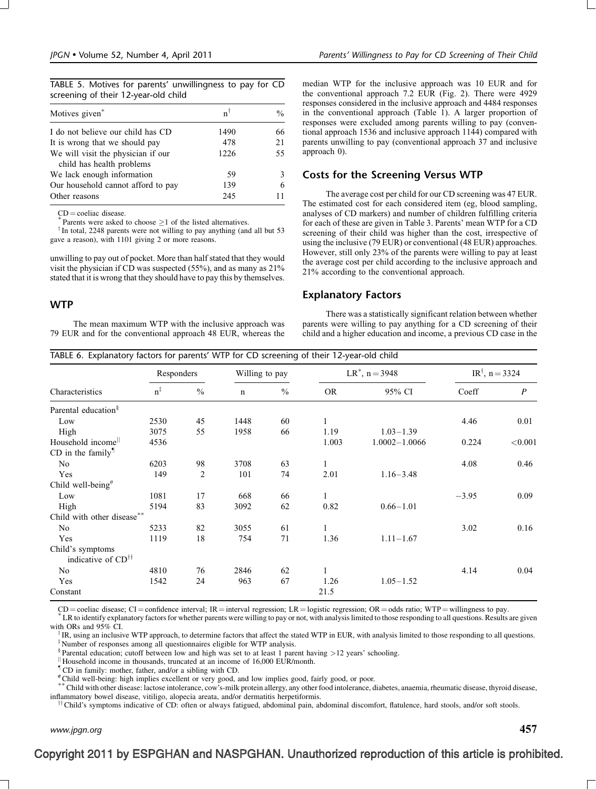<span id="page-5-0"></span>

|                                      |  | TABLE 5. Motives for parents' unwillingness to pay for CD |  |  |
|--------------------------------------|--|-----------------------------------------------------------|--|--|
| screening of their 12-year-old child |  |                                                           |  |  |

| Motives given*                                                  | n <sup>1</sup> | $\frac{0}{0}$ |
|-----------------------------------------------------------------|----------------|---------------|
| I do not believe our child has CD                               | 1490           | 66            |
| It is wrong that we should pay                                  | 478            | 21            |
| We will visit the physician if our<br>child has health problems | 1226           | 55            |
| We lack enough information                                      | 59             | 3             |
| Our household cannot afford to pay                              | 139            | 6             |
| Other reasons                                                   | 245            |               |

 $CD = \text{coeliac disease.}$  \* Parents were asked to choose  $\geq 1$  of the listed alternatives.

 $\dagger$  In total, 2248 parents were not willing to pay anything (and all but 53 gave a reason), with 1101 giving 2 or more reasons.

unwilling to pay out of pocket. More than half stated that they would visit the physician if CD was suspected (55%), and as many as 21% stated that it is wrong that they should have to pay this by themselves.

### **WTP**

The mean maximum WTP with the inclusive approach was 79 EUR and for the conventional approach 48 EUR, whereas the

median WTP for the inclusive approach was 10 EUR and for the conventional approach 7.2 EUR [\(Fig. 2](#page-4-0)). There were 4929 responses considered in the inclusive approach and 4484 responses in the conventional approach ([Table 1\)](#page-2-0). A larger proportion of responses were excluded among parents willing to pay (conventional approach 1536 and inclusive approach 1144) compared with parents unwilling to pay (conventional approach 37 and inclusive approach 0).

### Costs for the Screening Versus WTP

The average cost per child for our CD screening was 47 EUR. The estimated cost for each considered item (eg, blood sampling, analyses of CD markers) and number of children fulfilling criteria for each of these are given in [Table 3](#page-3-0). Parents' mean WTP for a CD screening of their child was higher than the cost, irrespective of using the inclusive (79 EUR) or conventional (48 EUR) approaches. However, still only 23% of the parents were willing to pay at least the average cost per child according to the inclusive approach and 21% according to the conventional approach.

### Explanatory Factors

There was a statistically significant relation between whether parents were willing to pay anything for a CD screening of their child and a higher education and income, a previous CD case in the

### TABLE 6. Explanatory factors for parents' WTP for CD screening of their 12-year-old child Responders Willing to pay  $LR^*$ , n = 3948  $IR^{\dagger}$ , n = 3324 Characteristics  $n^{\frac{1}{4}}$  % n % OR 95% CI Coeff  $P$ Parental education<sup>§</sup> Low 2530 45 1448 60 1 4.46 0.01 High 3075 55 1958 66 1.19 1.03–1.39 Household income<sup>||</sup> 4536 1.003 1.0002–1.0066 0.224 <0.001 CD in the family<sup> $\parallel$ </sup> No 6203 98 3708 63 1 4.08 6.46 Yes 149 2 101 74 2.01 1.16–3.48 Child well-being<sup>#</sup> Low 1081 17 668 66 1  $-3.95$  0.09 High 5194 83 3092 62 0.82 0.66–1.01 Child with other disease No 5233 82 3055 61 1 3.02 0.16 Yes 1119 18 754 71 1.36 1.11–1.67 Child's symptoms indicative of CD<sup>††</sup> No 4810 76 2846 62 1 4.14 0.04

 $CD =$  coeliac disease;  $CI =$  confidence interval;  $IR =$  interval regression;  $LR =$  logistic regression;  $OR =$  odds ratio;  $WTP =$  willingness to pay.<br>\* LR to identify explanatory factors for whether parents were willing to pay o

with ORs and 95% CI.

<sup>†</sup> IR, using an inclusive WTP approach, to determine factors that affect the stated WTP in EUR, with analysis limited to those responding to all questions.  $\frac{1}{k}$  Number of responses among all questionsizes eligible f <sup>‡</sup> Number of responses among all questionnaires eligible for WTP analysis.

§ Parental education; cutoff between low and high was set to at least 1 parent having >12 years' schooling. || Household income in thousands, truncated at an income of 16,000 EUR/month.

Yes 1542 24 963 67 1.26 1.05-1.52

Constant 21.5

CD in family: mother, father, and/or a sibling with CD.

#Child well-being: high implies excellent or very good, and low implies good, fairly good, or poor.

Child with other disease: lactose intolerance, cow's-milk protein allergy, any other food intolerance, diabetes, anaemia, rheumatic disease, thyroid disease,

inflammatory bowel disease, vitiligo, alopecia areata, and/or dermatitis herpetiformis.<br><sup>††</sup> Child's symptoms indicative of CD: often or always fatigued, abdominal pain, abdominal discomfort, flatulence, hard stools, and/o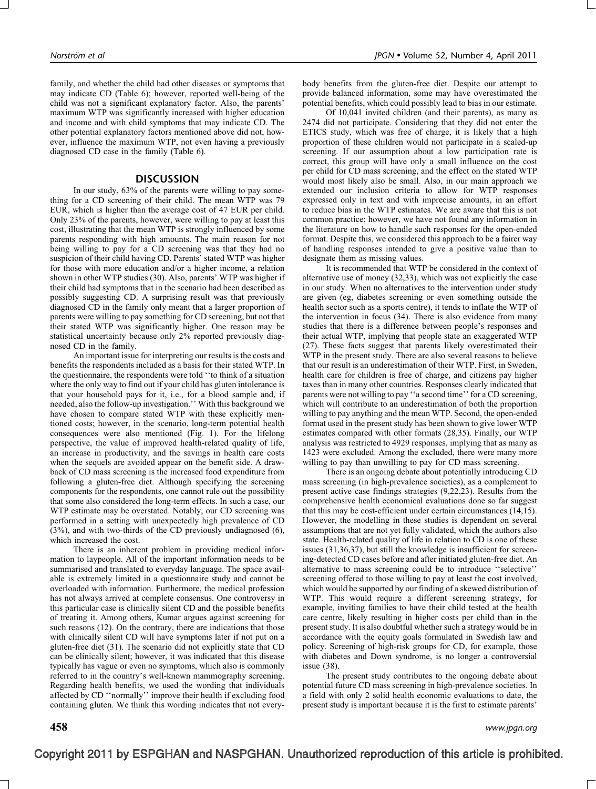family, and whether the child had other diseases or symptoms that may indicate CD ([Table 6](#page-5-0)); however, reported well-being of the child was not a significant explanatory factor. Also, the parents' maximum WTP was significantly increased with higher education and income and with child symptoms that may indicate CD. The other potential explanatory factors mentioned above did not, however, influence the maximum WTP, not even having a previously diagnosed CD case in the family ([Table 6\)](#page-5-0).

### **DISCUSSION**

In our study, 63% of the parents were willing to pay something for a CD screening of their child. The mean WTP was 79 EUR, which is higher than the average cost of 47 EUR per child. Only 23% of the parents, however, were willing to pay at least this cost, illustrating that the mean WTP is strongly influenced by some parents responding with high amounts. The main reason for not being willing to pay for a CD screening was that they had no suspicion of their child having CD. Parents' stated WTP was higher for those with more education and/or a higher income, a relation shown in other WTP studies [\(30\).](#page-7-0) Also, parents' WTP was higher if their child had symptoms that in the scenario had been described as possibly suggesting CD. A surprising result was that previously diagnosed CD in the family only meant that a larger proportion of parents were willing to pay something for CD screening, but not that their stated WTP was significantly higher. One reason may be statistical uncertainty because only 2% reported previously diagnosed CD in the family.

An important issue for interpreting our results is the costs and benefits the respondents included as a basis for their stated WTP. In the questionnaire, the respondents were told ''to think of a situation where the only way to find out if your child has gluten intolerance is that your household pays for it, i.e., for a blood sample and, if needed, also the follow-up investigation.'' With this background we have chosen to compare stated WTP with these explicitly mentioned costs; however, in the scenario, long-term potential health consequences were also mentioned [\(Fig. 1](#page-2-0)). For the lifelong perspective, the value of improved health-related quality of life, an increase in productivity, and the savings in health care costs when the sequels are avoided appear on the benefit side. A drawback of CD mass screening is the increased food expenditure from following a gluten-free diet. Although specifying the screening components for the respondents, one cannot rule out the possibility that some also considered the long-term effects. In such a case, our WTP estimate may be overstated. Notably, our CD screening was performed in a setting with unexpectedly high prevalence of CD (3%), and with two-thirds of the CD previously undiagnosed [\(6\),](#page-7-0) which increased the cost.

There is an inherent problem in providing medical information to laypeople. All of the important information needs to be summarised and translated to everyday language. The space available is extremely limited in a questionnaire study and cannot be overloaded with information. Furthermore, the medical profession has not always arrived at complete consensus. One controversy in this particular case is clinically silent CD and the possible benefits of treating it. Among others, Kumar argues against screening for such reasons [\(12\)](#page-7-0). On the contrary, there are indications that those with clinically silent CD will have symptoms later if not put on a gluten-free diet [\(31\).](#page-7-0) The scenario did not explicitly state that CD can be clinically silent; however, it was indicated that this disease typically has vague or even no symptoms, which also is commonly referred to in the country's well-known mammography screening. Regarding health benefits, we used the wording that individuals affected by CD ''normally'' improve their health if excluding food containing gluten. We think this wording indicates that not every-

body benefits from the gluten-free diet. Despite our attempt to provide balanced information, some may have overestimated the potential benefits, which could possibly lead to bias in our estimate.

Of 10,041 invited children (and their parents), as many as 2474 did not participate. Considering that they did not enter the ETICS study, which was free of charge, it is likely that a high proportion of these children would not participate in a scaled-up screening. If our assumption about a low participation rate is correct, this group will have only a small influence on the cost per child for CD mass screening, and the effect on the stated WTP would most likely also be small. Also, in our main approach we extended our inclusion criteria to allow for WTP responses expressed only in text and with imprecise amounts, in an effort to reduce bias in the WTP estimates. We are aware that this is not common practice; however, we have not found any information in the literature on how to handle such responses for the open-ended format. Despite this, we considered this approach to be a fairer way of handling responses intended to give a positive value than to designate them as missing values.

It is recommended that WTP be considered in the context of alternative use of money [\(32,33\),](#page-7-0) which was not explicitly the case in our study. When no alternatives to the intervention under study are given (eg, diabetes screening or even something outside the health sector such as a sports centre), it tends to inflate the WTP of the intervention in focus [\(34\)](#page-7-0). There is also evidence from many studies that there is a difference between people's responses and their actual WTP, implying that people state an exaggerated WTP [\(27\)](#page-7-0). These facts suggest that parents likely overestimated their WTP in the present study. There are also several reasons to believe that our result is an underestimation of their WTP. First, in Sweden, health care for children is free of charge, and citizens pay higher taxes than in many other countries. Responses clearly indicated that parents were not willing to pay ''a second time'' for a CD screening, which will contribute to an underestimation of both the proportion willing to pay anything and the mean WTP. Second, the open-ended format used in the present study has been shown to give lower WTP estimates compared with other formats [\(28,35\).](#page-7-0) Finally, our WTP analysis was restricted to 4929 responses, implying that as many as 1423 were excluded. Among the excluded, there were many more willing to pay than unwilling to pay for CD mass screening.

There is an ongoing debate about potentially introducing CD mass screening (in high-prevalence societies), as a complement to present active case findings strategies [\(9,22,23\)](#page-7-0). Results from the comprehensive health economical evaluations done so far suggest that this may be cost-efficient under certain circumstances [\(14,15\)](#page-7-0). However, the modelling in these studies is dependent on several assumptions that are not yet fully validated, which the authors also state. Health-related quality of life in relation to CD is one of these issues [\(31,36,37\),](#page-7-0) but still the knowledge is insufficient for screening-detected CD cases before and after initiated gluten-free diet. An alternative to mass screening could be to introduce ''selective'' screening offered to those willing to pay at least the cost involved, which would be supported by our finding of a skewed distribution of WTP. This would require a different screening strategy, for example, inviting families to have their child tested at the health care centre, likely resulting in higher costs per child than in the present study. It is also doubtful whether such a strategy would be in accordance with the equity goals formulated in Swedish law and policy. Screening of high-risk groups for CD, for example, those with diabetes and Down syndrome, is no longer a controversial issue [\(38\)](#page-7-0).

The present study contributes to the ongoing debate about potential future CD mass screening in high-prevalence societies. In a field with only 2 solid health economic evaluations to date, the present study is important because it is the first to estimate parents'